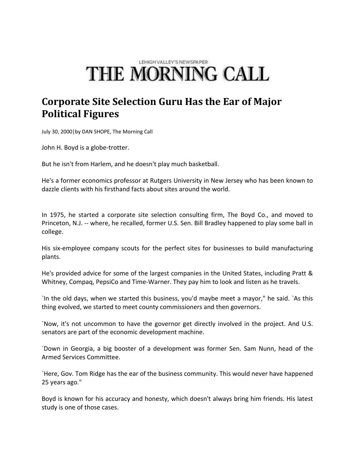## LEHIGH VALLEY'S NEWSPAPER THE MORNING CALL

## **Corporate Site Selection Guru Has the Ear of Major Political Figures**

July 30, 2000|by DAN SHOPE, The Morning Call

John H. Boyd is a globe-trotter.

But he isn't from Harlem, and he doesn't play much basketball.

He's a former economics professor at Rutgers University in New Jersey who has been known to dazzle clients with his firsthand facts about sites around the world.

In 1975, he started a corporate site selection consulting firm, The Boyd Co., and moved to Princeton, N.J. -- where, he recalled, former U.S. Sen. Bill Bradley happened to play some ball in college.

His six-employee company scouts for the perfect sites for businesses to build manufacturing plants.

He's provided advice for some of the largest companies in the United States, including Pratt & Whitney, Compaq, PepsiCo and Time‐Warner. They pay him to look and listen as he travels.

`In the old days, when we started this business, you'd maybe meet a mayor," he said. `As this thing evolved, we started to meet county commissioners and then governors.

`Now, it's not uncommon to have the governor get directly involved in the project. And U.S. senators are part of the economic development machine.

`Down in Georgia, a big booster of a development was former Sen. Sam Nunn, head of the Armed Services Committee.

`Here, Gov. Tom Ridge has the ear of the business community. This would never have happened 25 years ago."

Boyd is known for his accuracy and honesty, which doesn't always bring him friends. His latest study is one of those cases.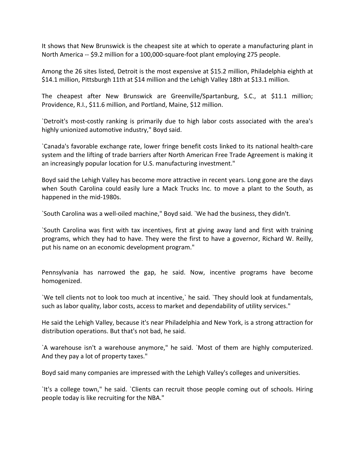It shows that New Brunswick is the cheapest site at which to operate a manufacturing plant in North America ‐‐ \$9.2 million for a 100,000‐square‐foot plant employing 275 people.

Among the 26 sites listed, Detroit is the most expensive at \$15.2 million, Philadelphia eighth at \$14.1 million, Pittsburgh 11th at \$14 million and the Lehigh Valley 18th at \$13.1 million.

The cheapest after New Brunswick are Greenville/Spartanburg, S.C., at \$11.1 million; Providence, R.I., \$11.6 million, and Portland, Maine, \$12 million.

`Detroit's most‐costly ranking is primarily due to high labor costs associated with the area's highly unionized automotive industry," Boyd said.

`Canada's favorable exchange rate, lower fringe benefit costs linked to its national health‐care system and the lifting of trade barriers after North American Free Trade Agreement is making it an increasingly popular location for U.S. manufacturing investment."

Boyd said the Lehigh Valley has become more attractive in recent years. Long gone are the days when South Carolina could easily lure a Mack Trucks Inc. to move a plant to the South, as happened in the mid‐1980s.

`South Carolina was a well‐oiled machine," Boyd said. `We had the business, they didn't.

`South Carolina was first with tax incentives, first at giving away land and first with training programs, which they had to have. They were the first to have a governor, Richard W. Reilly, put his name on an economic development program."

Pennsylvania has narrowed the gap, he said. Now, incentive programs have become homogenized.

`We tell clients not to look too much at incentive,` he said. `They should look at fundamentals, such as labor quality, labor costs, access to market and dependability of utility services."

He said the Lehigh Valley, because it's near Philadelphia and New York, is a strong attraction for distribution operations. But that's not bad, he said.

`A warehouse isn't a warehouse anymore," he said. `Most of them are highly computerized. And they pay a lot of property taxes."

Boyd said many companies are impressed with the Lehigh Valley's colleges and universities.

`It's a college town," he said. `Clients can recruit those people coming out of schools. Hiring people today is like recruiting for the NBA."